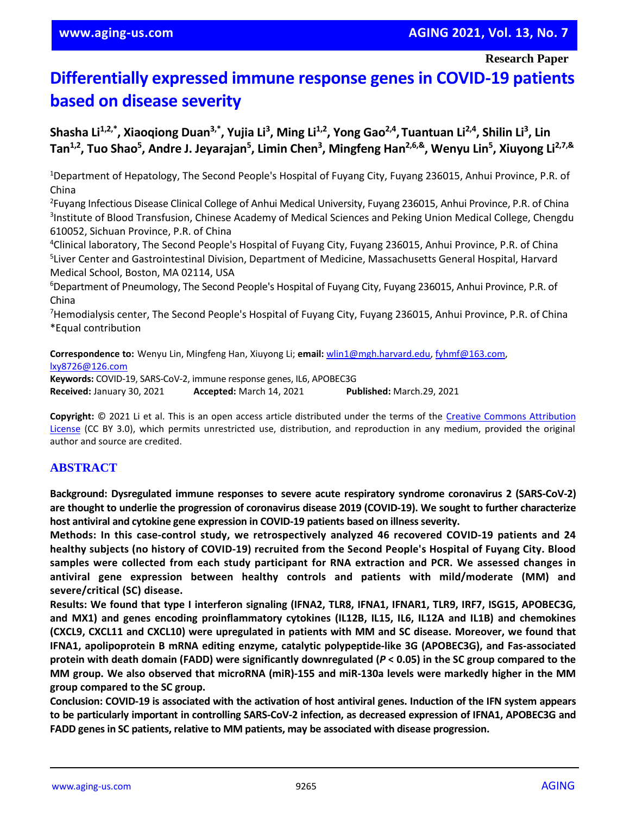**Research Paper**

# **Differentially expressed immune response genes in COVID-19 patients based on disease severity**

**Shasha Li1,2,\* , Xiaoqiong Duan3,\* , Yujia Li<sup>3</sup> , Ming Li1,2, Yong Gao2,4 , Tuantuan Li2,4, Shilin Li<sup>3</sup> , Lin Tan1,2, Tuo Shao<sup>5</sup> , Andre J. Jeyarajan<sup>5</sup> , Limin Chen<sup>3</sup> , Mingfeng Han2,6,&, Wenyu Lin<sup>5</sup> , Xiuyong Li2,7,&**

<sup>1</sup>Department of Hepatology, The Second People's Hospital of Fuyang City, Fuyang 236015, Anhui Province, P.R. of China

<sup>2</sup>Fuyang Infectious Disease Clinical College of Anhui Medical University, Fuyang 236015, Anhui Province, P.R. of China <sup>3</sup>Institute of Blood Transfusion, Chinese Academy of Medical Sciences and Peking Union Medical College, Chengdu 610052, Sichuan Province, P.R. of China

<sup>4</sup>Clinical laboratory, The Second People's Hospital of Fuyang City, Fuyang 236015, Anhui Province, P.R. of China 5 Liver Center and Gastrointestinal Division, Department of Medicine, Massachusetts General Hospital, Harvard Medical School, Boston, MA 02114, USA

<sup>6</sup>Department of Pneumology, The Second People's Hospital of Fuyang City, Fuyang 236015, Anhui Province, P.R. of China

<sup>7</sup>Hemodialysis center, The Second People's Hospital of Fuyang City, Fuyang 236015, Anhui Province, P.R. of China \*Equal contribution

**Correspondence to:** Wenyu Lin, Mingfeng Han, Xiuyong Li; **email:** [wlin1@mgh.harvard.edu,](mailto:wlin1@mgh.harvard.edu) [fyhmf@163.com,](mailto:fyhmf@163.com) [lxy8726@126.com](mailto:lxy8726@126.com) **Keywords:** COVID-19, SARS-CoV-2, immune response genes, IL6, APOBEC3G

**Received:** January 30, 2021 **Accepted:** March 14, 2021 **Published:** March.29, 2021

**Copyright:** © 2021 Li et al. This is an open access article distributed under the terms of the [Creative Commons Attribution](https://creativecommons.org/licenses/by/3.0/)  [License](https://creativecommons.org/licenses/by/3.0/) (CC BY 3.0), which permits unrestricted use, distribution, and reproduction in any medium, provided the original author and source are credited.

## **ABSTRACT**

**Background: Dysregulated immune responses to severe acute respiratory syndrome coronavirus 2 (SARS-CoV-2)** are thought to underlie the progression of coronavirus disease 2019 (COVID-19). We sought to further characterize **host antiviral and cytokine gene expression in COVID-19 patients based on illnessseverity.**

**Methods: In this case-control study, we retrospectively analyzed 46 recovered COVID-19 patients and 24 healthy subjects (no history of COVID-19) recruited from the Second People's Hospital of Fuyang City. Blood samples were collected from each study participant for RNA extraction and PCR. We assessed changes in antiviral gene expression between healthy controls and patients with mild/moderate (MM) and severe/critical (SC) disease.**

**Results: We found that type I interferon signaling (IFNA2, TLR8, IFNA1, IFNAR1, TLR9, IRF7, ISG15, APOBEC3G, and MX1) and genes encoding proinflammatory cytokines (IL12B, IL15, IL6, IL12A and IL1B) and chemokines (CXCL9, CXCL11 and CXCL10) were upregulated in patients with MM and SC disease. Moreover, we found that IFNA1, apolipoprotein B mRNA editing enzyme, catalytic polypeptide-like 3G (APOBEC3G), and Fas-associated** protein with death domain (FADD) were significantly downregulated ( $P < 0.05$ ) in the SC group compared to the **MM group. We also observed that microRNA (miR)-155 and miR-130a levels were markedly higher in the MM group compared to the SC group.**

Conclusion: COVID-19 is associated with the activation of host antiviral genes. Induction of the IFN system appears **to be particularly important in controlling SARS-CoV-2 infection, as decreased expression of IFNA1, APOBEC3G and FADD genesin SC patients, relative to MM patients, may be associated with disease progression.**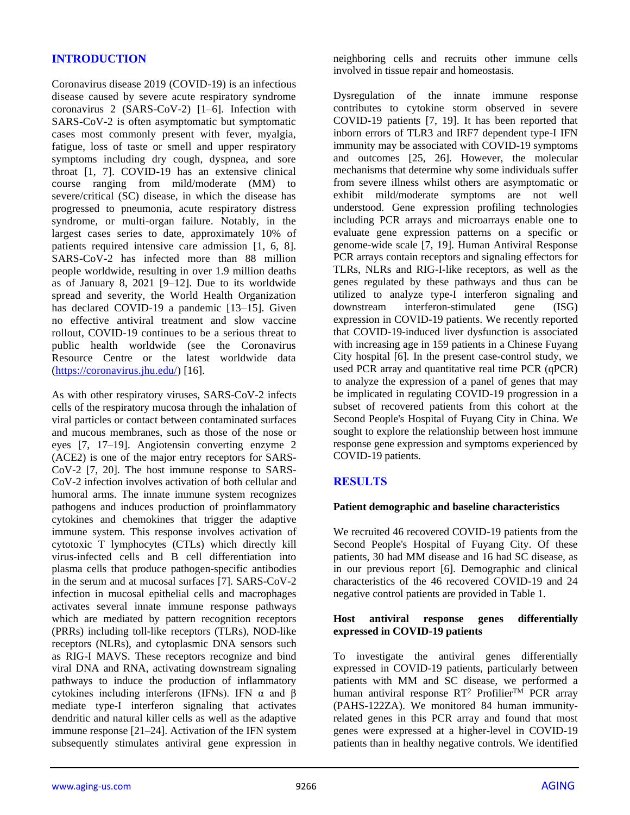## **INTRODUCTION**

Coronavirus disease 2019 (COVID-19) is an infectious disease caused by severe acute respiratory syndrome coronavirus 2 (SARS-CoV-2) [1–6]. Infection with SARS-CoV-2 is often asymptomatic but symptomatic cases most commonly present with fever, myalgia, fatigue, loss of taste or smell and upper respiratory symptoms including dry cough, dyspnea, and sore throat [1, 7]. COVID-19 has an extensive clinical course ranging from mild/moderate (MM) to severe/critical (SC) disease, in which the disease has progressed to pneumonia, acute respiratory distress syndrome, or multi-organ failure. Notably, in the largest cases series to date, approximately 10% of patients required intensive care admission [1, 6, 8]. SARS-CoV-2 has infected more than 88 million people worldwide, resulting in over 1.9 million deaths as of January 8, 2021 [9–12]. Due to its worldwide spread and severity, the World Health Organization has declared COVID-19 a pandemic [13–15]. Given no effective antiviral treatment and slow vaccine rollout, COVID-19 continues to be a serious threat to public health worldwide (see the Coronavirus Resource Centre or the latest worldwide data [\(https://coronavirus.jhu.edu/\)](https://coronavirus.jhu.edu/) [16].

As with other respiratory viruses, SARS-CoV-2 infects cells of the respiratory mucosa through the inhalation of viral particles or contact between contaminated surfaces and mucous membranes, such as those of the nose or eyes [7, 17–19]. Angiotensin converting enzyme 2 (ACE2) is one of the major entry receptors for SARS-CoV-2 [7, 20]. The host immune response to SARS-CoV-2 infection involves activation of both cellular and humoral arms. The innate immune system recognizes pathogens and induces production of proinflammatory cytokines and chemokines that trigger the adaptive immune system. This response involves activation of cytotoxic T lymphocytes (CTLs) which directly kill virus-infected cells and B cell differentiation into plasma cells that produce pathogen-specific antibodies in the serum and at mucosal surfaces [7]. SARS-CoV-2 infection in mucosal epithelial cells and macrophages activates several innate immune response pathways which are mediated by pattern recognition receptors (PRRs) including toll-like receptors (TLRs), NOD-like receptors (NLRs), and cytoplasmic DNA sensors such as RIG-I MAVS. These receptors recognize and bind viral DNA and RNA, activating downstream signaling pathways to induce the production of inflammatory cytokines including interferons (IFNs). IFN α and β mediate type-I interferon signaling that activates dendritic and natural killer cells as well as the adaptive immune response [21–24]. Activation of the IFN system subsequently stimulates antiviral gene expression in

neighboring cells and recruits other immune cells involved in tissue repair and homeostasis.

Dysregulation of the innate immune response contributes to cytokine storm observed in severe COVID-19 patients [7, 19]. It has been reported that inborn errors of TLR3 and IRF7 dependent type-I IFN immunity may be associated with COVID-19 symptoms and outcomes [25, 26]. However, the molecular mechanisms that determine why some individuals suffer from severe illness whilst others are asymptomatic or exhibit mild/moderate symptoms are not well understood. Gene expression profiling technologies including PCR arrays and microarrays enable one to evaluate gene expression patterns on a specific or genome-wide scale [7, 19]. Human Antiviral Response PCR arrays contain receptors and signaling effectors for TLRs, NLRs and RIG-I-like receptors, as well as the genes regulated by these pathways and thus can be utilized to analyze type-I interferon signaling and downstream interferon-stimulated gene (ISG) expression in COVID-19 patients. We recently reported that COVID-19-induced liver dysfunction is associated with increasing age in 159 patients in a Chinese Fuyang City hospital [6]. In the present case-control study, we used PCR array and quantitative real time PCR (qPCR) to analyze the expression of a panel of genes that may be implicated in regulating COVID-19 progression in a subset of recovered patients from this cohort at the Second People's Hospital of Fuyang City in China. We sought to explore the relationship between host immune response gene expression and symptoms experienced by COVID-19 patients.

## **RESULTS**

#### **Patient demographic and baseline characteristics**

We recruited 46 recovered COVID-19 patients from the Second People's Hospital of Fuyang City. Of these patients, 30 had MM disease and 16 had SC disease, as in our previous report [6]. Demographic and clinical characteristics of the 46 recovered COVID-19 and 24 negative control patients are provided in Table 1.

#### **Host antiviral response genes differentially expressed in COVID-19 patients**

To investigate the antiviral genes differentially expressed in COVID-19 patients, particularly between patients with MM and SC disease, we performed a human antiviral response  $RT^2$  Profilier<sup>TM</sup> PCR array (PAHS-122ZA). We monitored 84 human immunityrelated genes in this PCR array and found that most genes were expressed at a higher-level in COVID-19 patients than in healthy negative controls. We identified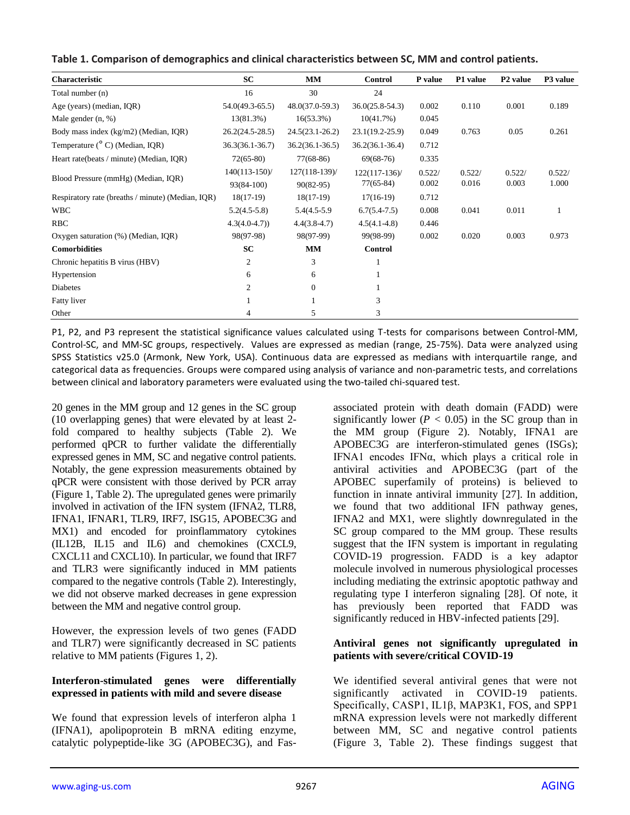| <b>Characteristic</b>                             | <b>SC</b>           | MM                  | <b>Control</b>      | P value | P1 value | P <sub>2</sub> value | P3 value |
|---------------------------------------------------|---------------------|---------------------|---------------------|---------|----------|----------------------|----------|
| Total number (n)                                  | 16                  | 30                  | 24                  |         |          |                      |          |
| Age (years) (median, IQR)                         | $54.0(49.3-65.5)$   | $48.0(37.0-59.3)$   | $36.0(25.8-54.3)$   | 0.002   | 0.110    | 0.001                | 0.189    |
| Male gender $(n, %)$                              | 13(81.3%)           | $16(53.3\%)$        | 10(41.7%)           | 0.045   |          |                      |          |
| Body mass index (kg/m2) (Median, IQR)             | $26.2(24.5-28.5)$   | $24.5(23.1 - 26.2)$ | $23.1(19.2 - 25.9)$ | 0.049   | 0.763    | 0.05                 | 0.261    |
| Temperature ( <sup>o</sup> C) (Median, IQR)       | $36.3(36.1 - 36.7)$ | $36.2(36.1 - 36.5)$ | $36.2(36.1 - 36.4)$ | 0.712   |          |                      |          |
| Heart rate(beats / minute) (Median, IQR)          | $72(65-80)$         | $77(68-86)$         | $69(68-76)$         | 0.335   |          |                      |          |
| Blood Pressure (mmHg) (Median, IQR)               | $140(113-150)$ /    | $127(118-139)$ /    | $122(117-136)$      | 0.522/  | 0.522/   | 0.522/               | 0.522/   |
|                                                   | 93(84-100)          | $90(82-95)$         | $77(65-84)$         | 0.002   | 0.016    | 0.003                | 1.000    |
| Respiratory rate (breaths / minute) (Median, IQR) | $18(17-19)$         | $18(17-19)$         | $17(16-19)$         | 0.712   |          |                      |          |
| <b>WBC</b>                                        | $5.2(4.5-5.8)$      | 5.4(4.5-5.9)        | $6.7(5.4-7.5)$      | 0.008   | 0.041    | 0.011                |          |
| <b>RBC</b>                                        | $4.3(4.0-4.7)$      | $4.4(3.8-4.7)$      | $4.5(4.1 - 4.8)$    | 0.446   |          |                      |          |
| Oxygen saturation (%) (Median, IQR)               | 98(97-98)           | 98(97-99)           | 99(98-99)           | 0.002   | 0.020    | 0.003                | 0.973    |
| <b>Comorbidities</b>                              | SC                  | MM                  | <b>Control</b>      |         |          |                      |          |
| Chronic hepatitis B virus (HBV)                   | 2                   | 3                   | 1                   |         |          |                      |          |
| Hypertension                                      | 6                   | 6                   |                     |         |          |                      |          |
| Diabetes                                          | 2                   | $\mathbf{0}$        |                     |         |          |                      |          |
| Fatty liver                                       |                     |                     | 3                   |         |          |                      |          |
| Other                                             | 4                   | 5                   | 3                   |         |          |                      |          |

| Table 1. Comparison of demographics and clinical characteristics between SC, MM and control patients. |  |  |
|-------------------------------------------------------------------------------------------------------|--|--|
|-------------------------------------------------------------------------------------------------------|--|--|

P1, P2, and P3 represent the statistical significance values calculated using T-tests for comparisons between Control-MM, Control-SC, and MM-SC groups, respectively. Values are expressed as median (range, 25-75%). Data were analyzed using SPSS Statistics v25.0 (Armonk, New York, USA). Continuous data are expressed as medians with interquartile range, and categorical data as frequencies. Groups were compared using analysis of variance and non-parametric tests, and correlations between clinical and laboratory parameters were evaluated using the two-tailed chi-squared test.

20 genes in the MM group and 12 genes in the SC group (10 overlapping genes) that were elevated by at least 2 fold compared to healthy subjects (Table 2). We performed qPCR to further validate the differentially expressed genes in MM, SC and negative control patients. Notably, the gene expression measurements obtained by qPCR were consistent with those derived by PCR array (Figure 1, Table 2). The upregulated genes were primarily involved in activation of the IFN system (IFNA2, TLR8, IFNA1, IFNAR1, TLR9, IRF7, ISG15, APOBEC3G and MX1) and encoded for proinflammatory cytokines (IL12B, IL15 and IL6) and chemokines (CXCL9, CXCL11 and CXCL10). In particular, we found that IRF7 and TLR3 were significantly induced in MM patients compared to the negative controls (Table 2). Interestingly, we did not observe marked decreases in gene expression between the MM and negative control group.

However, the expression levels of two genes (FADD and TLR7) were significantly decreased in SC patients relative to MM patients (Figures 1, 2).

#### **Interferon-stimulated genes were differentially expressed in patients with mild and severe disease**

We found that expression levels of interferon alpha 1 (IFNA1), apolipoprotein B mRNA editing enzyme, catalytic polypeptide-like 3G (APOBEC3G), and Fasassociated protein with death domain (FADD) were significantly lower  $(P < 0.05)$  in the SC group than in the MM group (Figure 2). Notably, IFNA1 are APOBEC3G are interferon-stimulated genes (ISGs); IFNA1 encodes IFNα, which plays a critical role in antiviral activities and APOBEC3G (part of the APOBEC superfamily of proteins) is believed to function in innate antiviral immunity [27]. In addition, we found that two additional IFN pathway genes, IFNA2 and MX1, were slightly downregulated in the SC group compared to the MM group. These results suggest that the IFN system is important in regulating COVID-19 progression. FADD is a key adaptor molecule involved in numerous physiological processes including mediating the extrinsic apoptotic pathway and regulating type I interferon signaling [28]. Of note, it has previously been reported that FADD was significantly reduced in HBV-infected patients [29].

#### **Antiviral genes not significantly upregulated in patients with severe/critical COVID-19**

We identified several antiviral genes that were not significantly activated in COVID-19 patients. Specifically, CASP1, IL1β, MAP3K1, FOS, and SPP1 mRNA expression levels were not markedly different between MM, SC and negative control patients (Figure 3, Table 2). These findings suggest that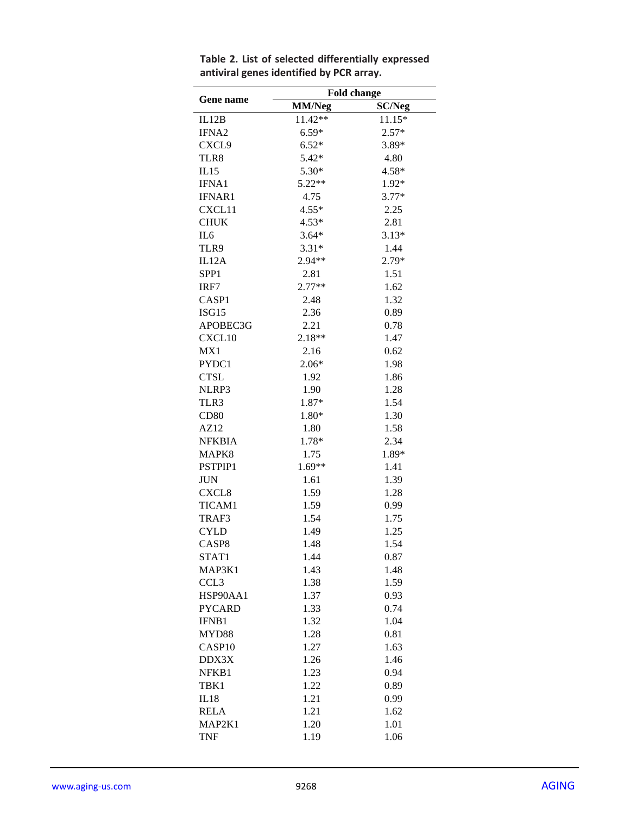|                    | <b>Fold change</b> |               |  |
|--------------------|--------------------|---------------|--|
| Gene name          | <b>MM/Neg</b>      | <b>SC/Neg</b> |  |
| IL12B              | 11.42**            | $11.15*$      |  |
| IFNA <sub>2</sub>  | $6.59*$            | $2.57*$       |  |
| CXCL9              | $6.52*$            | 3.89*         |  |
| TLR8               | $5.42*$            | 4.80          |  |
| IL15               | $5.30*$            | $4.58*$       |  |
| <b>IFNA1</b>       | $5.22**$           | 1.92*         |  |
| <b>IFNAR1</b>      | 4.75               | $3.77*$       |  |
| CXCL11             | $4.55*$            | 2.25          |  |
| <b>CHUK</b>        | $4.53*$            | 2.81          |  |
| IL6                | $3.64*$            | $3.13*$       |  |
| TLR9               | $3.31*$            | 1.44          |  |
| IL12A              | $2.94**$           | 2.79*         |  |
| SPP <sub>1</sub>   | 2.81               | 1.51          |  |
| IRF7               | $2.77**$           | 1.62          |  |
| CASP1              | 2.48               | 1.32          |  |
| ISG15              | 2.36               | 0.89          |  |
| APOBEC3G           | 2.21               | 0.78          |  |
| CXCL10             | 2.18**             | 1.47          |  |
| MX1                | 2.16               | 0.62          |  |
| PYDC1              | $2.06*$            | 1.98          |  |
| <b>CTSL</b>        | 1.92               | 1.86          |  |
| NLRP3              | 1.90               | 1.28          |  |
| TLR3               | 1.87*              | 1.54          |  |
| <b>CD80</b>        | 1.80*              | 1.30          |  |
| AZ12               | 1.80               | 1.58          |  |
| <b>NFKBIA</b>      | 1.78*              | 2.34          |  |
| MAPK8              | 1.75               | 1.89*         |  |
| PSTPIP1            | $1.69**$           | 1.41          |  |
| JUN                | 1.61               | 1.39          |  |
| CXCL <sub>8</sub>  | 1.59               | 1.28          |  |
| TICAM1             | 1.59               | 0.99          |  |
| TRAF3              | 1.54               | 1.75          |  |
| <b>CYLD</b>        | 1.49               | 1.25          |  |
| CASP8              | 1.48               | 1.54          |  |
| STAT1              | 1.44               | 0.87          |  |
| MAP3K1             | 1.43               | 1.48          |  |
| CCL <sub>3</sub>   | 1.38               | 1.59          |  |
| HSP90AA1           | 1.37               | 0.93          |  |
| <b>PYCARD</b>      | 1.33               | 0.74          |  |
| IFNB1              | 1.32               | 1.04          |  |
| MYD88              | 1.28               | 0.81          |  |
| CASP <sub>10</sub> | 1.27               | 1.63          |  |
| DDX3X              | 1.26               | 1.46          |  |
| NFKB1              | 1.23               | 0.94          |  |
| TBK1               | 1.22               | 0.89          |  |
| IL18               | 1.21               | 0.99          |  |
| <b>RELA</b>        | 1.21               | 1.62          |  |
| MAP2K1             | 1.20               | 1.01          |  |
| <b>TNF</b>         | 1.19               | 1.06          |  |

**Table 2. List of selected differentially expressed antiviral genes identified by PCR array.**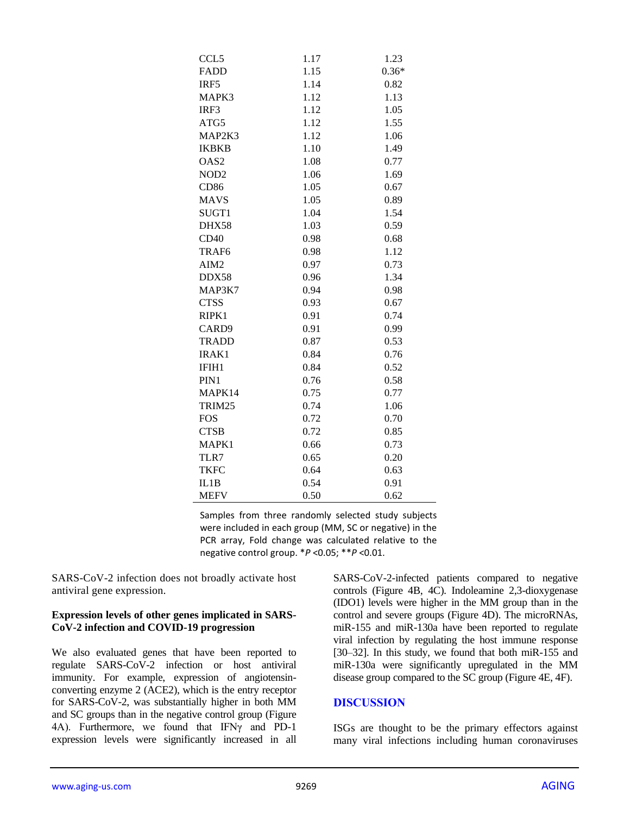| CCL5              | 1.17 | 1.23    |
|-------------------|------|---------|
| <b>FADD</b>       | 1.15 | $0.36*$ |
| IRF5              | 1.14 | 0.82    |
| MAPK3             | 1.12 | 1.13    |
| IRF3              | 1.12 | 1.05    |
| ATG5              | 1.12 | 1.55    |
| MAP2K3            | 1.12 | 1.06    |
| <b>IKBKB</b>      | 1.10 | 1.49    |
| OAS <sub>2</sub>  | 1.08 | 0.77    |
| NOD <sub>2</sub>  | 1.06 | 1.69    |
| <b>CD86</b>       | 1.05 | 0.67    |
| <b>MAVS</b>       | 1.05 | 0.89    |
| SUGT1             | 1.04 | 1.54    |
| DHX58             | 1.03 | 0.59    |
| CD40              | 0.98 | 0.68    |
| TRAF <sub>6</sub> | 0.98 | 1.12    |
| AIM <sub>2</sub>  | 0.97 | 0.73    |
| DDX58             | 0.96 | 1.34    |
| MAP3K7            | 0.94 | 0.98    |
| <b>CTSS</b>       | 0.93 | 0.67    |
| RIPK1             | 0.91 | 0.74    |
| CARD9             | 0.91 | 0.99    |
| <b>TRADD</b>      | 0.87 | 0.53    |
| IRAK1             | 0.84 | 0.76    |
| IFIH1             | 0.84 | 0.52    |
| PIN1              | 0.76 | 0.58    |
| MAPK14            | 0.75 | 0.77    |
| TRIM25            | 0.74 | 1.06    |
| <b>FOS</b>        | 0.72 | 0.70    |
| <b>CTSB</b>       | 0.72 | 0.85    |
| MAPK1             | 0.66 | 0.73    |
| TLR7              | 0.65 | 0.20    |
| <b>TKFC</b>       | 0.64 | 0.63    |
| IL1B              | 0.54 | 0.91    |
| <b>MEFV</b>       | 0.50 | 0.62    |

Samples from three randomly selected study subjects were included in each group (MM, SC or negative) in the PCR array, Fold change was calculated relative to the negative control group. \**P* <0.05; \*\**P* <0.01.

SARS-CoV-2 infection does not broadly activate host antiviral gene expression.

#### **Expression levels of other genes implicated in SARS-CoV-2 infection and COVID-19 progression**

We also evaluated genes that have been reported to regulate SARS-CoV-2 infection or host antiviral immunity. For example, expression of angiotensinconverting enzyme 2 (ACE2), which is the entry receptor for SARS-CoV-2, was substantially higher in both MM and SC groups than in the negative control group (Figure 4A). Furthermore, we found that IFNγ and PD-1 expression levels were significantly increased in all SARS-CoV-2-infected patients compared to negative controls (Figure 4B, 4C). Indoleamine 2,3-dioxygenase (IDO1) levels were higher in the MM group than in the control and severe groups (Figure 4D). The microRNAs, miR-155 and miR-130a have been reported to regulate viral infection by regulating the host immune response [30–32]. In this study, we found that both miR-155 and miR-130a were significantly upregulated in the MM disease group compared to the SC group (Figure 4E, 4F).

#### **DISCUSSION**

ISGs are thought to be the primary effectors against many viral infections including human coronaviruses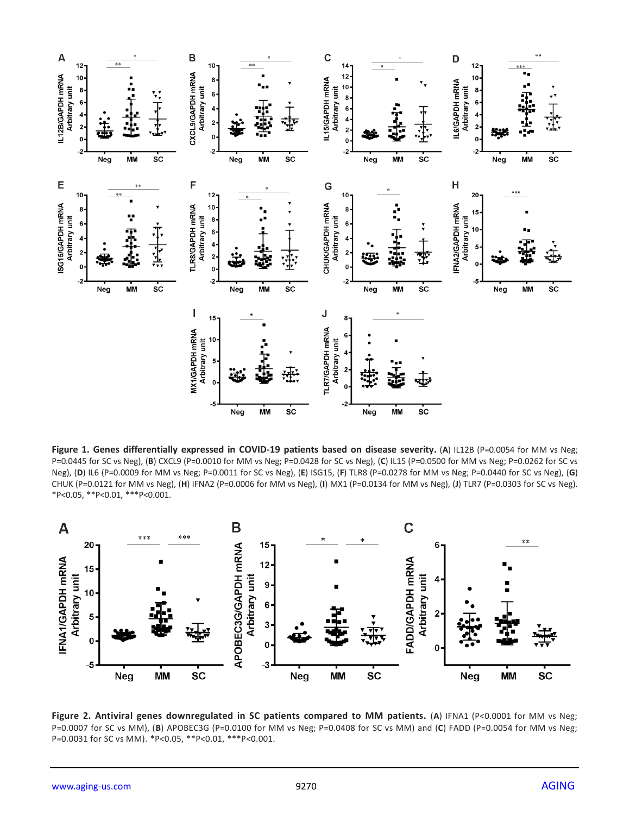

**Figure 1. Genes differentially expressed in COVID-19 patients based on disease severity.** (**A**) IL12B (P=0.0054 for MM vs Neg; P=0.0445 for SC vs Neg), (**B**) CXCL9 (P=0.0010 for MM vs Neg; P=0.0428 for SC vs Neg), (**C**) IL15 (P=0.0500 for MM vs Neg; P=0.0262 for SC vs Neg), (**D**) IL6 (P=0.0009 for MM vs Neg; P=0.0011 for SC vs Neg), (**E**) ISG15, (**F**) TLR8 (P=0.0278 for MM vs Neg; P=0.0440 for SC vs Neg), (**G**) CHUK (P=0.0121 for MM vs Neg), (**H**) IFNA2 (P=0.0006 for MM vs Neg), (**I**) MX1 (P=0.0134 for MM vs Neg), (**J**) TLR7 (P=0.0303 for SC vs Neg). \*P<0.05, \*\*P<0.01, \*\*\*P<0.001.



**Figure 2. Antiviral genes downregulated in SC patients compared to MM patients.** (**A**) IFNA1 (P<0.0001 for MM vs Neg; P=0.0007 for SC vs MM), (**B**) APOBEC3G (P=0.0100 for MM vs Neg; P=0.0408 for SC vs MM) and (**C**) FADD (P=0.0054 for MM vs Neg; P=0.0031 for SC vs MM). \*P<0.05, \*\*P<0.01, \*\*\*P<0.001.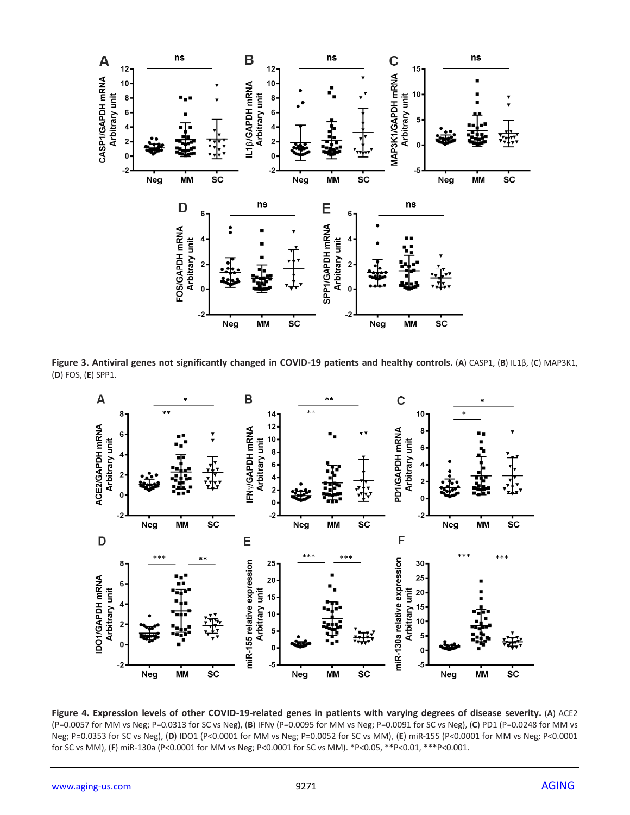

**Figure 3. Antiviral genes not significantly changed in COVID-19 patients and healthy controls.** (**A**) CASP1, (**B**) IL1β, (**C**) MAP3K1, (**D**) FOS, (**E**) SPP1.



**Figure 4. Expression levels of other COVID-19-related genes in patients with varying degrees of disease severity.** (**A**) ACE2 (P=0.0057 for MM vs Neg; P=0.0313 for SC vs Neg), (**B**) IFNγ (P=0.0095 for MM vs Neg; P=0.0091 for SC vs Neg), (**C**) PD1 (P=0.0248 for MM vs Neg; P=0.0353 for SC vs Neg), (**D**) IDO1 (P<0.0001 for MM vs Neg; P=0.0052 for SC vs MM), (**E**) miR-155 (P<0.0001 for MM vs Neg; P<0.0001 for SC vs MM), (**F**) miR-130a (P<0.0001 for MM vs Neg; P<0.0001 for SC vs MM). \*P<0.05, \*\*P<0.01, \*\*\*P<0.001.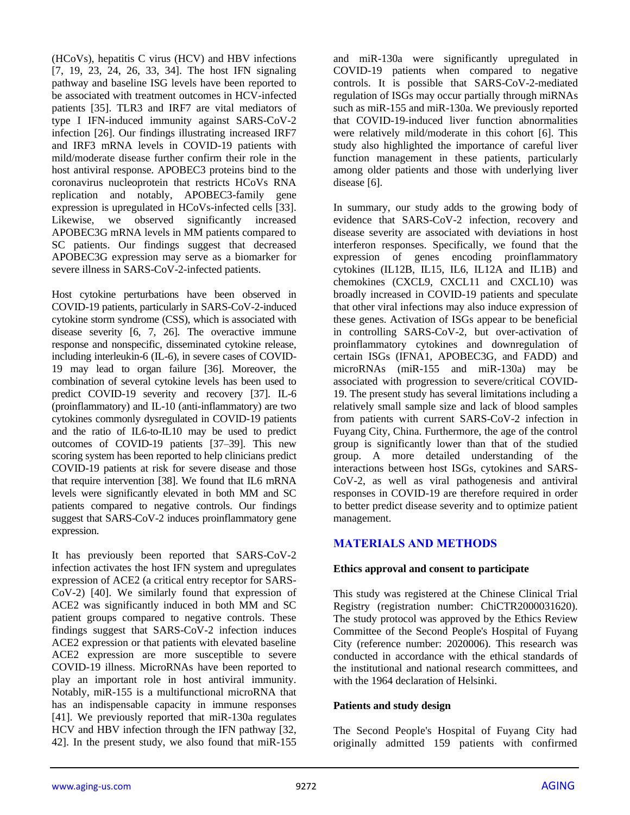(HCoVs), hepatitis C virus (HCV) and HBV infections [7, 19, 23, 24, 26, 33, 34]. The host IFN signaling pathway and baseline ISG levels have been reported to be associated with treatment outcomes in HCV-infected patients [35]. TLR3 and IRF7 are vital mediators of type I IFN-induced immunity against SARS-CoV-2 infection [26]. Our findings illustrating increased IRF7 and IRF3 mRNA levels in COVID-19 patients with mild/moderate disease further confirm their role in the host antiviral response. APOBEC3 proteins bind to the coronavirus nucleoprotein that restricts HCoVs RNA replication and notably, APOBEC3-family gene expression is upregulated in HCoVs-infected cells [33]. Likewise, we observed significantly increased APOBEC3G mRNA levels in MM patients compared to SC patients. Our findings suggest that decreased APOBEC3G expression may serve as a biomarker for severe illness in SARS-CoV-2-infected patients.

Host cytokine perturbations have been observed in COVID-19 patients, particularly in SARS-CoV-2-induced cytokine storm syndrome (CSS), which is associated with disease severity [6, 7, 26]. The overactive immune response and nonspecific, disseminated cytokine release, including interleukin-6 (IL-6), in severe cases of COVID-19 may lead to organ failure [36]. Moreover, the combination of several cytokine levels has been used to predict COVID-19 severity and recovery [37]. IL-6 (proinflammatory) and IL-10 (anti-inflammatory) are two cytokines commonly dysregulated in COVID-19 patients and the ratio of IL6-to-IL10 may be used to predict outcomes of COVID-19 patients [37–39]. This new scoring system has been reported to help clinicians predict COVID-19 patients at risk for severe disease and those that require intervention [38]. We found that IL6 mRNA levels were significantly elevated in both MM and SC patients compared to negative controls. Our findings suggest that SARS-CoV-2 induces proinflammatory gene expression.

It has previously been reported that SARS-CoV-2 infection activates the host IFN system and upregulates expression of ACE2 (a critical entry receptor for SARS-CoV-2) [40]. We similarly found that expression of ACE2 was significantly induced in both MM and SC patient groups compared to negative controls. These findings suggest that SARS-CoV-2 infection induces ACE2 expression or that patients with elevated baseline ACE2 expression are more susceptible to severe COVID-19 illness. MicroRNAs have been reported to play an important role in host antiviral immunity. Notably, miR-155 is a multifunctional microRNA that has an indispensable capacity in immune responses [41]. We previously reported that miR-130a regulates HCV and HBV infection through the IFN pathway [32, 42]. In the present study, we also found that miR-155

and miR-130a were significantly upregulated in COVID-19 patients when compared to negative controls. It is possible that SARS-CoV-2-mediated regulation of ISGs may occur partially through miRNAs such as miR-155 and miR-130a. We previously reported that COVID-19-induced liver function abnormalities were relatively mild/moderate in this cohort [6]. This study also highlighted the importance of careful liver function management in these patients, particularly among older patients and those with underlying liver disease [6].

In summary, our study adds to the growing body of evidence that SARS-CoV-2 infection, recovery and disease severity are associated with deviations in host interferon responses. Specifically, we found that the expression of genes encoding proinflammatory cytokines (IL12B, IL15, IL6, IL12A and IL1B) and chemokines (CXCL9, CXCL11 and CXCL10) was broadly increased in COVID-19 patients and speculate that other viral infections may also induce expression of these genes. Activation of ISGs appear to be beneficial in controlling SARS-CoV-2, but over-activation of proinflammatory cytokines and downregulation of certain ISGs (IFNA1, APOBEC3G, and FADD) and microRNAs (miR-155 and miR-130a) may be associated with progression to severe/critical COVID-19. The present study has several limitations including a relatively small sample size and lack of blood samples from patients with current SARS-CoV-2 infection in Fuyang City, China. Furthermore, the age of the control group is significantly lower than that of the studied group. A more detailed understanding of the interactions between host ISGs, cytokines and SARS-CoV-2, as well as viral pathogenesis and antiviral responses in COVID-19 are therefore required in order to better predict disease severity and to optimize patient management.

## **MATERIALS AND METHODS**

## **Ethics approval and consent to participate**

This study was registered at the Chinese Clinical Trial Registry (registration number: ChiCTR2000031620). The study protocol was approved by the Ethics Review Committee of the Second People's Hospital of Fuyang City (reference number: 2020006). This research was conducted in accordance with the ethical standards of the institutional and national research committees, and with the 1964 declaration of Helsinki.

#### **Patients and study design**

The Second People's Hospital of Fuyang City had originally admitted 159 patients with confirmed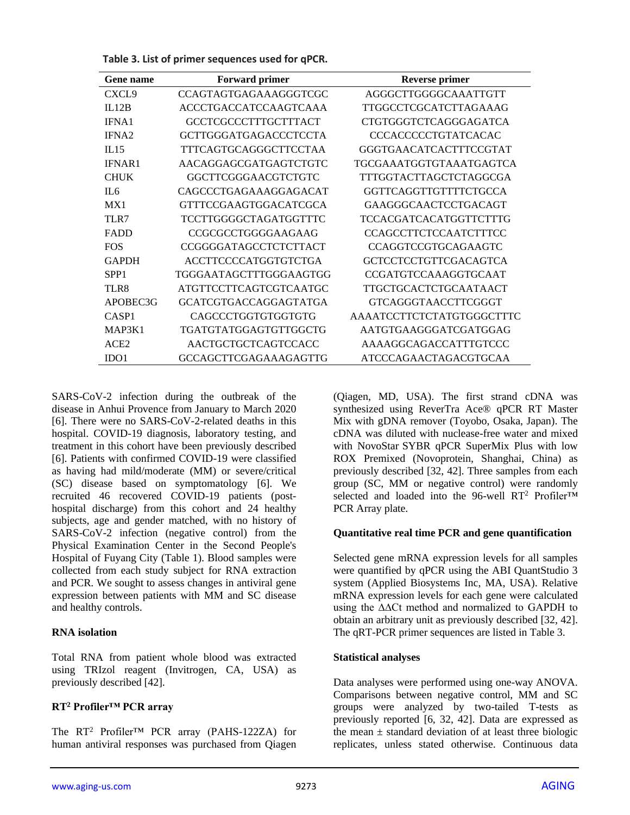**Table 3. List of primer sequences used for qPCR.**

| <b>Gene</b> name  | <b>Forward primer</b>        | <b>Reverse primer</b>          |
|-------------------|------------------------------|--------------------------------|
| CXCL <sub>9</sub> | <b>CCAGTAGTGAGAAAGGGTCGC</b> | AGGGCTTGGGGCAAATTGTT           |
| IL12B             | <b>ACCCTGACCATCCAAGTCAAA</b> | TTGGCCTCGCATCTTAGAAAG          |
| IFNA1             | GCCTCGCCCTTTGCTTTACT         | CTGTGGGTCTCAGGGAGATCA          |
| IFNA <sub>2</sub> | GCTTGGGATGAGACCCTCCTA        | <b>CCCACCCCCTGTATCACAC</b>     |
| IL15              | TTTCAGTGCAGGGCTTCCTAA        | GGGTGAACATCACTTTCCGTAT         |
| <b>IFNAR1</b>     | AACAGGAGCGATGAGTCTGTC        | <b>TGCGAAATGGTGTAAATGAGTCA</b> |
| <b>CHUK</b>       | GGCTTCGGGAACGTCTGTC          | TTTGGTACTTAGCTCTAGGCGA         |
| II.6              | CAGCCCTGAGAAAGGAGACAT        | GGTTCAGGTTGTTTTCTGCCA          |
| MX1               | GTTTCCGAAGTGGACATCGCA        | GAAGGGCAACTCCTGACAGT           |
| TLR7              | TCCTTGGGGCTAGATGGTTTC        | <b>TCCACGATCACATGGTTCTTTG</b>  |
| <b>FADD</b>       | CCGCGCCTGGGGAAGAAG           | <b>CCAGCCTTCTCCAATCTTTCC</b>   |
| <b>FOS</b>        | CCGGGGATAGCCTCTCTTACT        | CCAGGTCCGTGCAGAAGTC            |
| <b>GAPDH</b>      | <b>ACCTTCCCCATGGTGTCTGA</b>  | <b>GCTCCTCCTGTTCGACAGTCA</b>   |
| SPP <sub>1</sub>  | TGGGAATAGCTTTGGGAAGTGG       | <b>CCGATGTCCAAAGGTGCAAT</b>    |
| TLR8              | ATGTTCCTTCAGTCGTCAATGC       | TTGCTGCACTCTGCAATAACT          |
| APOBEC3G          | <b>GCATCGTGACCAGGAGTATGA</b> | <b>GTCAGGGTAACCTTCGGGT</b>     |
| CASP <sub>1</sub> | CAGCCCTGGTGTGGTGTG           | AAAATCCTTCTCTATGTGGGCTTTC      |
| MAP3K1            | TGATGTATGGAGTGTTGGCTG        | AATGTGAAGGGATCGATGGAG          |
| ACE <sub>2</sub>  | AACTGCTGCTCAGTCCACC          | AAAAGGCAGACCATTTGTCCC          |
| IDO1              | <b>GCCAGCTTCGAGAAAGAGTTG</b> | ATCCCAGAACTAGACGTGCAA          |

SARS-CoV-2 infection during the outbreak of the disease in Anhui Provence from January to March 2020 [6]. There were no SARS-CoV-2-related deaths in this hospital. COVID-19 diagnosis, laboratory testing, and treatment in this cohort have been previously described [6]. Patients with confirmed COVID-19 were classified as having had mild/moderate (MM) or severe/critical (SC) disease based on symptomatology [6]. We recruited 46 recovered COVID-19 patients (posthospital discharge) from this cohort and 24 healthy subjects, age and gender matched, with no history of SARS-CoV-2 infection (negative control) from the Physical Examination Center in the Second People's Hospital of Fuyang City (Table 1). Blood samples were collected from each study subject for RNA extraction and PCR. We sought to assess changes in antiviral gene expression between patients with MM and SC disease and healthy controls.

## **RNA isolation**

Total RNA from patient whole blood was extracted using TRIzol reagent (Invitrogen, CA, USA) as previously described [42].

## **RT<sup>2</sup> Profiler™ PCR array**

The RT<sup>2</sup> Profiler™ PCR array (PAHS-122ZA) for human antiviral responses was purchased from Qiagen (Qiagen, MD, USA). The first strand cDNA was synthesized using ReverTra Ace® qPCR RT Master Mix with gDNA remover (Toyobo, Osaka, Japan). The cDNA was diluted with nuclease-free water and mixed with NovoStar SYBR qPCR SuperMix Plus with low ROX Premixed (Novoprotein, Shanghai, China) as previously described [32, 42]. Three samples from each group (SC, MM or negative control) were randomly selected and loaded into the 96-well RT<sup>2</sup> Profiler™ PCR Array plate.

## **Quantitative real time PCR and gene quantification**

Selected gene mRNA expression levels for all samples were quantified by qPCR using the ABI QuantStudio 3 system (Applied Biosystems Inc, MA, USA). Relative mRNA expression levels for each gene were calculated using the ∆∆Ct method and normalized to GAPDH to obtain an arbitrary unit as previously described [32, 42]. The qRT-PCR primer sequences are listed in Table 3.

#### **Statistical analyses**

Data analyses were performed using one-way ANOVA. Comparisons between negative control, MM and SC groups were analyzed by two-tailed T-tests as previously reported [6, 32, 42]. Data are expressed as the mean  $\pm$  standard deviation of at least three biologic replicates, unless stated otherwise. Continuous data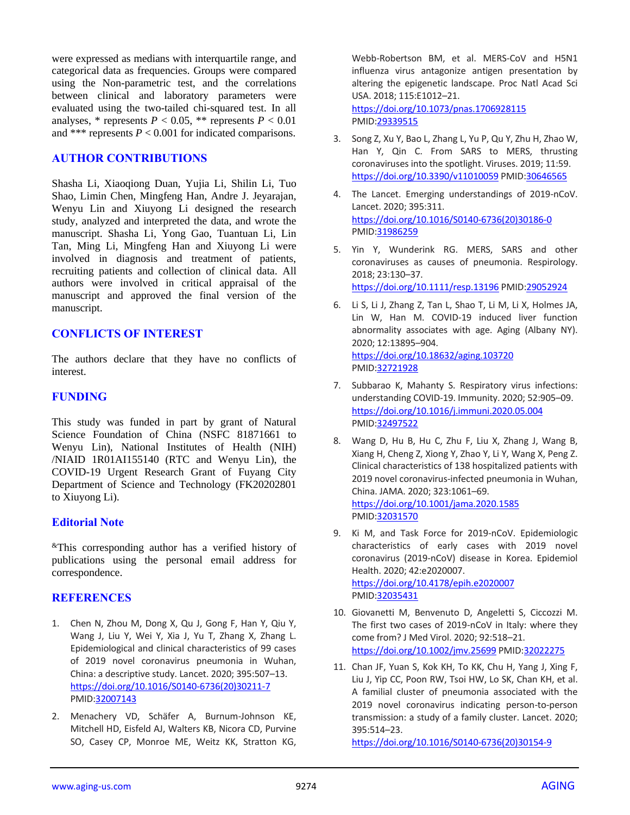were expressed as medians with interquartile range, and categorical data as frequencies. Groups were compared using the Non-parametric test, and the correlations between clinical and laboratory parameters were evaluated using the two-tailed chi-squared test. In all analyses, \* represents  $P < 0.05$ , \*\* represents  $P < 0.01$ and \*\*\* represents  $P < 0.001$  for indicated comparisons.

#### **AUTHOR CONTRIBUTIONS**

Shasha Li, Xiaoqiong Duan, Yujia Li, Shilin Li, Tuo Shao, Limin Chen, Mingfeng Han, Andre J. Jeyarajan, Wenyu Lin and Xiuyong Li designed the research study, analyzed and interpreted the data, and wrote the manuscript. Shasha Li, Yong Gao, Tuantuan Li, Lin Tan, Ming Li, Mingfeng Han and Xiuyong Li were involved in diagnosis and treatment of patients, recruiting patients and collection of clinical data. All authors were involved in critical appraisal of the manuscript and approved the final version of the manuscript.

## **CONFLICTS OF INTEREST**

The authors declare that they have no conflicts of interest.

#### **FUNDING**

This study was funded in part by grant of Natural Science Foundation of China (NSFC 81871661 to Wenyu Lin), National Institutes of Health (NIH) /NIAID 1R01AI155140 (RTC and Wenyu Lin), the COVID-19 Urgent Research Grant of Fuyang City Department of Science and Technology (FK20202801 to Xiuyong Li).

#### **Editorial Note**

&This corresponding author has a verified history of publications using the personal email address for correspondence.

#### **REFERENCES**

- 1. Chen N, Zhou M, Dong X, Qu J, Gong F, Han Y, Qiu Y, Wang J, Liu Y, Wei Y, Xia J, Yu T, Zhang X, Zhang L. Epidemiological and clinical characteristics of 99 cases of 2019 novel coronavirus pneumonia in Wuhan, China: a descriptive study. Lancet. 2020; 395:507–13. [https://doi.org/10.1016/S0140-6736\(20\)30211-7](https://doi.org/10.1016/S0140-6736(20)30211-7) PMID[:32007143](https://pubmed.ncbi.nlm.nih.gov/32007143)
- 2. Menachery VD, Schäfer A, Burnum-Johnson KE, Mitchell HD, Eisfeld AJ, Walters KB, Nicora CD, Purvine SO, Casey CP, Monroe ME, Weitz KK, Stratton KG,

Webb-Robertson BM, et al. MERS-CoV and H5N1 influenza virus antagonize antigen presentation by altering the epigenetic landscape. Proc Natl Acad Sci USA. 2018; 115:E1012–21. <https://doi.org/10.1073/pnas.1706928115> PMID: 29339515

- 3. Song Z, Xu Y, Bao L, Zhang L, Yu P, Qu Y, Zhu H, Zhao W, Han Y, Qin C. From SARS to MERS, thrusting coronaviruses into the spotlight. Viruses. 2019; 11:59. <https://doi.org/10.3390/v11010059> PMI[D:30646565](https://pubmed.ncbi.nlm.nih.gov/30646565)
- 4. The Lancet. Emerging understandings of 2019-nCoV. Lancet. 2020; 395:311. [https://doi.org/10.1016/S0140-6736\(20\)30186-0](https://doi.org/10.1016/S0140-6736(20)30186-0) PMI[D:31986259](https://pubmed.ncbi.nlm.nih.gov/31986259)
- 5. Yin Y, Wunderink RG. MERS, SARS and other coronaviruses as causes of pneumonia. Respirology. 2018; 23:130–37. <https://doi.org/10.1111/resp.13196> PMID[:29052924](https://pubmed.ncbi.nlm.nih.gov/29052924)
- 6. Li S, Li J, Zhang Z, Tan L, Shao T, Li M, Li X, Holmes JA, Lin W, Han M. COVID-19 induced liver function abnormality associates with age. Aging (Albany NY). 2020; 12:13895–904. <https://doi.org/10.18632/aging.103720> PMI[D:32721928](https://pubmed.ncbi.nlm.nih.gov/32721928)
- 7. Subbarao K, Mahanty S. Respiratory virus infections: understanding COVID-19. Immunity. 2020; 52:905–09. <https://doi.org/10.1016/j.immuni.2020.05.004> PMI[D:32497522](https://pubmed.ncbi.nlm.nih.gov/32497522)
- 8. Wang D, Hu B, Hu C, Zhu F, Liu X, Zhang J, Wang B, Xiang H, Cheng Z, Xiong Y, Zhao Y, Li Y, Wang X, Peng Z. Clinical characteristics of 138 hospitalized patients with 2019 novel coronavirus-infected pneumonia in Wuhan, China. JAMA. 2020; 323:1061–69. <https://doi.org/10.1001/jama.2020.1585> PMI[D:32031570](https://pubmed.ncbi.nlm.nih.gov/32031570)
- 9. Ki M, and Task Force for 2019-nCoV. Epidemiologic characteristics of early cases with 2019 novel coronavirus (2019-nCoV) disease in Korea. Epidemiol Health. 2020; 42:e2020007. <https://doi.org/10.4178/epih.e2020007> PMI[D:32035431](https://pubmed.ncbi.nlm.nih.gov/32035431)
- 10. Giovanetti M, Benvenuto D, Angeletti S, Ciccozzi M. The first two cases of 2019-nCoV in Italy: where they come from? J Med Virol. 2020; 92:518–21. <https://doi.org/10.1002/jmv.25699> PMID[:32022275](https://pubmed.ncbi.nlm.nih.gov/32022275)
- 11. Chan JF, Yuan S, Kok KH, To KK, Chu H, Yang J, Xing F, Liu J, Yip CC, Poon RW, Tsoi HW, Lo SK, Chan KH, et al. A familial cluster of pneumonia associated with the 2019 novel coronavirus indicating person-to-person transmission: a study of a family cluster. Lancet. 2020; 395:514–23.

[https://doi.org/10.1016/S0140-6736\(20\)30154-9](https://doi.org/10.1016/S0140-6736(20)30154-9)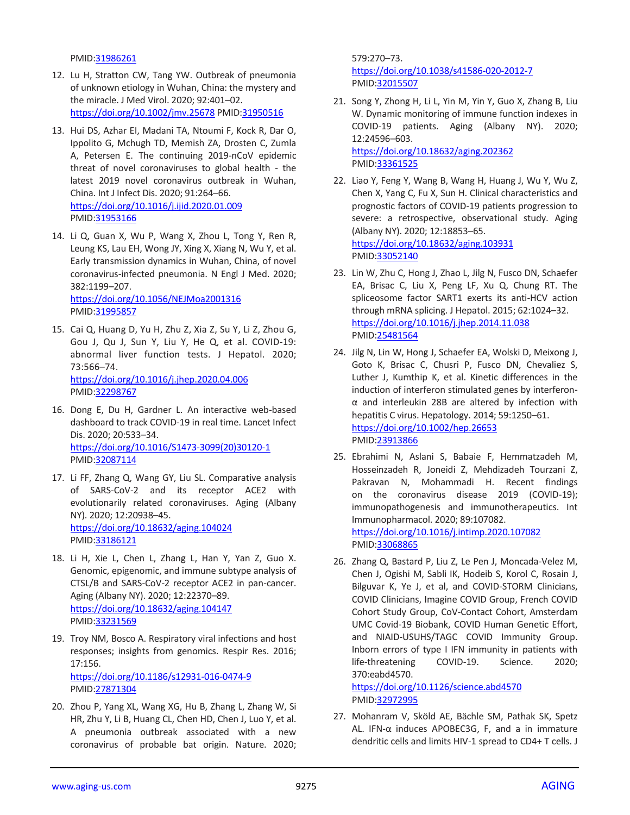PMID[:31986261](https://pubmed.ncbi.nlm.nih.gov/31986261)

- 12. Lu H, Stratton CW, Tang YW. Outbreak of pneumonia of unknown etiology in Wuhan, China: the mystery and the miracle. J Med Virol. 2020; 92:401–02. <https://doi.org/10.1002/jmv.25678> PMI[D:31950516](https://pubmed.ncbi.nlm.nih.gov/31950516)
- 13. Hui DS, Azhar EI, Madani TA, Ntoumi F, Kock R, Dar O, Ippolito G, Mchugh TD, Memish ZA, Drosten C, Zumla A, Petersen E. The continuing 2019-nCoV epidemic threat of novel coronaviruses to global health - the latest 2019 novel coronavirus outbreak in Wuhan, China. Int J Infect Dis. 2020; 91:264–66. <https://doi.org/10.1016/j.ijid.2020.01.009> PMID[:31953166](https://pubmed.ncbi.nlm.nih.gov/31953166)
- 14. Li Q, Guan X, Wu P, Wang X, Zhou L, Tong Y, Ren R, Leung KS, Lau EH, Wong JY, Xing X, Xiang N, Wu Y, et al. Early transmission dynamics in Wuhan, China, of novel coronavirus-infected pneumonia. N Engl J Med. 2020; 382:1199–207.

<https://doi.org/10.1056/NEJMoa2001316> PMID[:31995857](https://pubmed.ncbi.nlm.nih.gov/31995857)

- 15. Cai Q, Huang D, Yu H, Zhu Z, Xia Z, Su Y, Li Z, Zhou G, Gou J, Qu J, Sun Y, Liu Y, He Q, et al. COVID-19: abnormal liver function tests. J Hepatol. 2020; 73:566–74. <https://doi.org/10.1016/j.jhep.2020.04.006> PMID[:32298767](https://pubmed.ncbi.nlm.nih.gov/32298767)
- 16. Dong E, Du H, Gardner L. An interactive web-based dashboard to track COVID-19 in real time. Lancet Infect Dis. 2020; 20:533–34. [https://doi.org/10.1016/S1473-3099\(20\)30120-1](https://doi.org/10.1016/S1473-3099(20)30120-1) PMID[:32087114](https://pubmed.ncbi.nlm.nih.gov/32087114)
- 17. Li FF, Zhang Q, Wang GY, Liu SL. Comparative analysis of SARS-CoV-2 and its receptor ACE2 with evolutionarily related coronaviruses. Aging (Albany NY). 2020; 12:20938–45. <https://doi.org/10.18632/aging.104024> PMID[:33186121](https://pubmed.ncbi.nlm.nih.gov/33186121)
- 18. Li H, Xie L, Chen L, Zhang L, Han Y, Yan Z, Guo X. Genomic, epigenomic, and immune subtype analysis of CTSL/B and SARS-CoV-2 receptor ACE2 in pan-cancer. Aging (Albany NY). 2020; 12:22370–89. <https://doi.org/10.18632/aging.104147> PMID[:33231569](https://pubmed.ncbi.nlm.nih.gov/33231569)
- 19. Troy NM, Bosco A. Respiratory viral infections and host responses; insights from genomics. Respir Res. 2016; 17:156. <https://doi.org/10.1186/s12931-016-0474-9> PMID[:27871304](https://pubmed.ncbi.nlm.nih.gov/27871304)
- 20. Zhou P, Yang XL, Wang XG, Hu B, Zhang L, Zhang W, Si HR, Zhu Y, Li B, Huang CL, Chen HD, Chen J, Luo Y, et al. A pneumonia outbreak associated with a new coronavirus of probable bat origin. Nature. 2020;

579:270–73. <https://doi.org/10.1038/s41586-020-2012-7> PMI[D:32015507](https://pubmed.ncbi.nlm.nih.gov/32015507)

- 21. Song Y, Zhong H, Li L, Yin M, Yin Y, Guo X, Zhang B, Liu W. Dynamic monitoring of immune function indexes in COVID-19 patients. Aging (Albany NY). 2020; 12:24596–603. <https://doi.org/10.18632/aging.202362> PMI[D:33361525](https://pubmed.ncbi.nlm.nih.gov/33361525)
- 22. Liao Y, Feng Y, Wang B, Wang H, Huang J, Wu Y, Wu Z, Chen X, Yang C, Fu X, Sun H. Clinical characteristics and prognostic factors of COVID-19 patients progression to severe: a retrospective, observational study. Aging (Albany NY). 2020; 12:18853–65. <https://doi.org/10.18632/aging.103931> PMI[D:33052140](https://pubmed.ncbi.nlm.nih.gov/33052140)
- 23. Lin W, Zhu C, Hong J, Zhao L, Jilg N, Fusco DN, Schaefer EA, Brisac C, Liu X, Peng LF, Xu Q, Chung RT. The spliceosome factor SART1 exerts its anti-HCV action through mRNA splicing. J Hepatol. 2015; 62:1024–32. <https://doi.org/10.1016/j.jhep.2014.11.038> PMI[D:25481564](https://pubmed.ncbi.nlm.nih.gov/25481564)
- 24. Jilg N, Lin W, Hong J, Schaefer EA, Wolski D, Meixong J, Goto K, Brisac C, Chusri P, Fusco DN, Chevaliez S, Luther J, Kumthip K, et al. Kinetic differences in the induction of interferon stimulated genes by interferonα and interleukin 28B are altered by infection with hepatitis C virus. Hepatology. 2014; 59:1250–61. <https://doi.org/10.1002/hep.26653> PMI[D:23913866](https://pubmed.ncbi.nlm.nih.gov/23913866)
- 25. Ebrahimi N, Aslani S, Babaie F, Hemmatzadeh M, Hosseinzadeh R, Joneidi Z, Mehdizadeh Tourzani Z, Pakravan N, Mohammadi H. Recent findings on the coronavirus disease 2019 (COVID-19); immunopathogenesis and immunotherapeutics. Int Immunopharmacol. 2020; 89:107082. <https://doi.org/10.1016/j.intimp.2020.107082> PMI[D:33068865](https://pubmed.ncbi.nlm.nih.gov/33068865)
- 26. Zhang Q, Bastard P, Liu Z, Le Pen J, Moncada-Velez M, Chen J, Ogishi M, Sabli IK, Hodeib S, Korol C, Rosain J, Bilguvar K, Ye J, et al, and COVID-STORM Clinicians, COVID Clinicians, Imagine COVID Group, French COVID Cohort Study Group, CoV-Contact Cohort, Amsterdam UMC Covid-19 Biobank, COVID Human Genetic Effort, and NIAID-USUHS/TAGC COVID Immunity Group. Inborn errors of type I IFN immunity in patients with life-threatening COVID-19. Science. 2020; 370:eabd4570.

<https://doi.org/10.1126/science.abd4570> PMI[D:32972995](https://pubmed.ncbi.nlm.nih.gov/32972995)

27. Mohanram V, Sköld AE, Bächle SM, Pathak SK, Spetz AL. IFN-α induces APOBEC3G, F, and a in immature dendritic cells and limits HIV-1 spread to CD4+ T cells. J